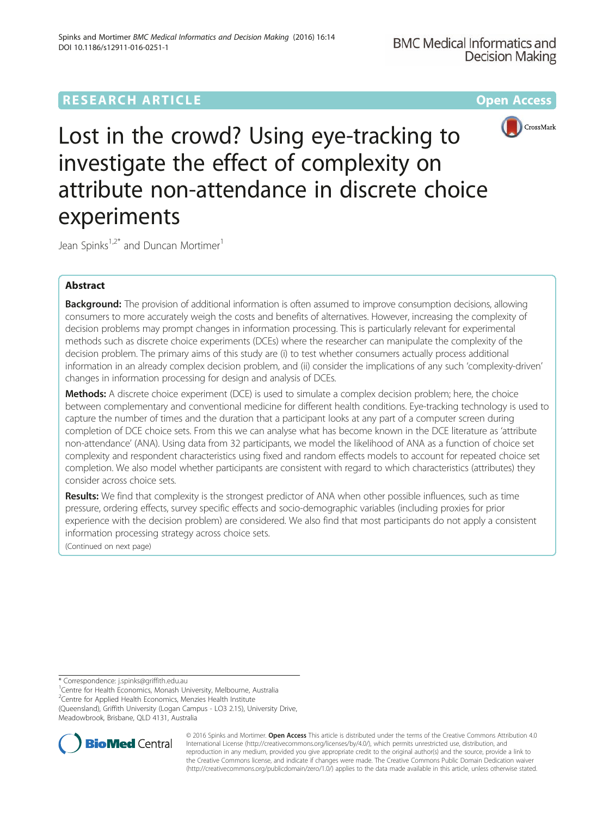# **RESEARCH ARTICLE Example 2014 12:30 The Contract of Contract Article 2014**



Lost in the crowd? Using eye-tracking to investigate the effect of complexity on attribute non-attendance in discrete choice experiments

Jean Spinks $1,2^*$  and Duncan Mortimer<sup>1</sup>

# Abstract

Background: The provision of additional information is often assumed to improve consumption decisions, allowing consumers to more accurately weigh the costs and benefits of alternatives. However, increasing the complexity of decision problems may prompt changes in information processing. This is particularly relevant for experimental methods such as discrete choice experiments (DCEs) where the researcher can manipulate the complexity of the decision problem. The primary aims of this study are (i) to test whether consumers actually process additional information in an already complex decision problem, and (ii) consider the implications of any such 'complexity-driven' changes in information processing for design and analysis of DCEs.

Methods: A discrete choice experiment (DCE) is used to simulate a complex decision problem; here, the choice between complementary and conventional medicine for different health conditions. Eye-tracking technology is used to capture the number of times and the duration that a participant looks at any part of a computer screen during completion of DCE choice sets. From this we can analyse what has become known in the DCE literature as 'attribute non-attendance' (ANA). Using data from 32 participants, we model the likelihood of ANA as a function of choice set complexity and respondent characteristics using fixed and random effects models to account for repeated choice set completion. We also model whether participants are consistent with regard to which characteristics (attributes) they consider across choice sets.

Results: We find that complexity is the strongest predictor of ANA when other possible influences, such as time pressure, ordering effects, survey specific effects and socio-demographic variables (including proxies for prior experience with the decision problem) are considered. We also find that most participants do not apply a consistent information processing strategy across choice sets.

(Continued on next page)

\* Correspondence: [j.spinks@griffith.edu.au](mailto:j.spinks@griffith.edu.au) <sup>1</sup>

<sup>1</sup> Centre for Health Economics, Monash University, Melbourne, Australia

<sup>2</sup> Centre for Applied Health Economics, Menzies Health Institute

(Queensland), Griffith University (Logan Campus - LO3 2.15), University Drive, Meadowbrook, Brisbane, QLD 4131, Australia



© 2016 Spinks and Mortimer. Open Access This article is distributed under the terms of the Creative Commons Attribution 4.0 International License [\(http://creativecommons.org/licenses/by/4.0/](http://creativecommons.org/licenses/by/4.0/)), which permits unrestricted use, distribution, and reproduction in any medium, provided you give appropriate credit to the original author(s) and the source, provide a link to the Creative Commons license, and indicate if changes were made. The Creative Commons Public Domain Dedication waiver [\(http://creativecommons.org/publicdomain/zero/1.0/](http://creativecommons.org/publicdomain/zero/1.0/)) applies to the data made available in this article, unless otherwise stated.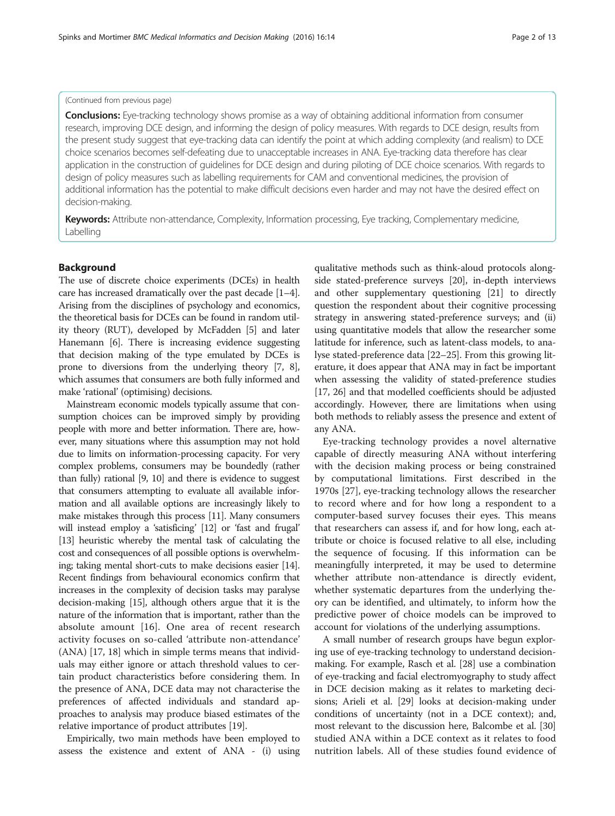# (Continued from previous page)

Conclusions: Eye-tracking technology shows promise as a way of obtaining additional information from consumer research, improving DCE design, and informing the design of policy measures. With regards to DCE design, results from the present study suggest that eye-tracking data can identify the point at which adding complexity (and realism) to DCE choice scenarios becomes self-defeating due to unacceptable increases in ANA. Eye-tracking data therefore has clear application in the construction of guidelines for DCE design and during piloting of DCE choice scenarios. With regards to design of policy measures such as labelling requirements for CAM and conventional medicines, the provision of additional information has the potential to make difficult decisions even harder and may not have the desired effect on decision-making.

Keywords: Attribute non-attendance, Complexity, Information processing, Eye tracking, Complementary medicine, Labelling

# Background

The use of discrete choice experiments (DCEs) in health care has increased dramatically over the past decade [\[1](#page-11-0)–[4](#page-11-0)]. Arising from the disciplines of psychology and economics, the theoretical basis for DCEs can be found in random utility theory (RUT), developed by McFadden [\[5\]](#page-11-0) and later Hanemann [\[6\]](#page-11-0). There is increasing evidence suggesting that decision making of the type emulated by DCEs is prone to diversions from the underlying theory [\[7, 8](#page-11-0)], which assumes that consumers are both fully informed and make 'rational' (optimising) decisions.

Mainstream economic models typically assume that consumption choices can be improved simply by providing people with more and better information. There are, however, many situations where this assumption may not hold due to limits on information-processing capacity. For very complex problems, consumers may be boundedly (rather than fully) rational [[9, 10](#page-11-0)] and there is evidence to suggest that consumers attempting to evaluate all available information and all available options are increasingly likely to make mistakes through this process [[11](#page-11-0)]. Many consumers will instead employ a 'satisficing' [[12](#page-11-0)] or 'fast and frugal' [[13](#page-11-0)] heuristic whereby the mental task of calculating the cost and consequences of all possible options is overwhelming; taking mental short-cuts to make decisions easier [\[14](#page-11-0)]. Recent findings from behavioural economics confirm that increases in the complexity of decision tasks may paralyse decision-making [\[15\]](#page-11-0), although others argue that it is the nature of the information that is important, rather than the absolute amount [[16\]](#page-11-0). One area of recent research activity focuses on so-called 'attribute non-attendance' (ANA) [\[17, 18](#page-11-0)] which in simple terms means that individuals may either ignore or attach threshold values to certain product characteristics before considering them. In the presence of ANA, DCE data may not characterise the preferences of affected individuals and standard approaches to analysis may produce biased estimates of the relative importance of product attributes [[19](#page-11-0)].

Empirically, two main methods have been employed to assess the existence and extent of ANA - (i) using qualitative methods such as think-aloud protocols alongside stated-preference surveys [\[20\]](#page-11-0), in-depth interviews and other supplementary questioning [\[21\]](#page-11-0) to directly question the respondent about their cognitive processing strategy in answering stated-preference surveys; and (ii) using quantitative models that allow the researcher some latitude for inference, such as latent-class models, to analyse stated-preference data [[22](#page-11-0)–[25](#page--1-0)]. From this growing literature, it does appear that ANA may in fact be important when assessing the validity of stated-preference studies [[17](#page-11-0), [26](#page--1-0)] and that modelled coefficients should be adjusted accordingly. However, there are limitations when using both methods to reliably assess the presence and extent of any ANA.

Eye-tracking technology provides a novel alternative capable of directly measuring ANA without interfering with the decision making process or being constrained by computational limitations. First described in the 1970s [\[27](#page--1-0)], eye-tracking technology allows the researcher to record where and for how long a respondent to a computer-based survey focuses their eyes. This means that researchers can assess if, and for how long, each attribute or choice is focused relative to all else, including the sequence of focusing. If this information can be meaningfully interpreted, it may be used to determine whether attribute non-attendance is directly evident, whether systematic departures from the underlying theory can be identified, and ultimately, to inform how the predictive power of choice models can be improved to account for violations of the underlying assumptions.

A small number of research groups have begun exploring use of eye-tracking technology to understand decisionmaking. For example, Rasch et al. [\[28\]](#page--1-0) use a combination of eye-tracking and facial electromyography to study affect in DCE decision making as it relates to marketing decisions; Arieli et al. [\[29\]](#page--1-0) looks at decision-making under conditions of uncertainty (not in a DCE context); and, most relevant to the discussion here, Balcombe et al. [[30](#page--1-0)] studied ANA within a DCE context as it relates to food nutrition labels. All of these studies found evidence of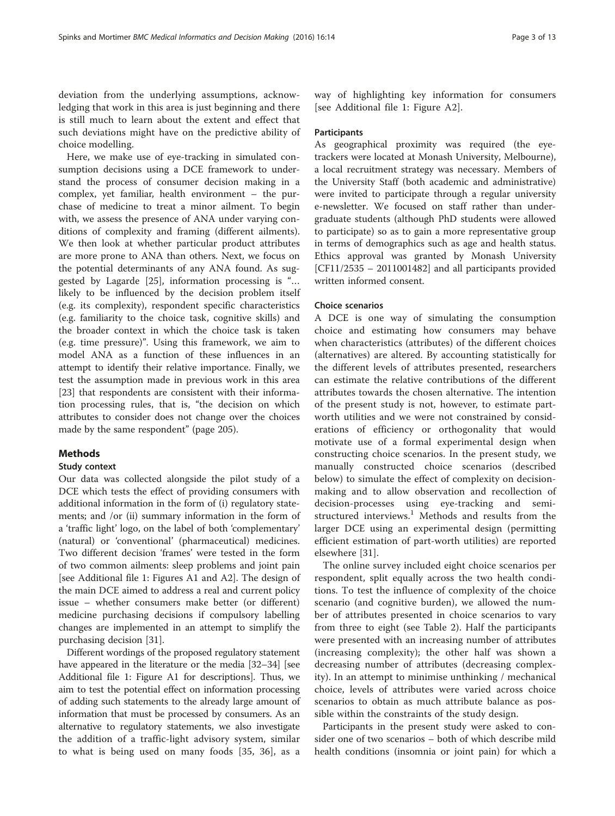deviation from the underlying assumptions, acknowledging that work in this area is just beginning and there is still much to learn about the extent and effect that such deviations might have on the predictive ability of choice modelling.

Here, we make use of eye-tracking in simulated consumption decisions using a DCE framework to understand the process of consumer decision making in a complex, yet familiar, health environment – the purchase of medicine to treat a minor ailment. To begin with, we assess the presence of ANA under varying conditions of complexity and framing (different ailments). We then look at whether particular product attributes are more prone to ANA than others. Next, we focus on the potential determinants of any ANA found. As suggested by Lagarde [[25\]](#page--1-0), information processing is "… likely to be influenced by the decision problem itself (e.g. its complexity), respondent specific characteristics (e.g. familiarity to the choice task, cognitive skills) and the broader context in which the choice task is taken (e.g. time pressure)". Using this framework, we aim to model ANA as a function of these influences in an attempt to identify their relative importance. Finally, we test the assumption made in previous work in this area [[23\]](#page-11-0) that respondents are consistent with their information processing rules, that is, "the decision on which attributes to consider does not change over the choices made by the same respondent" (page 205).

### Methods

# Study context

Our data was collected alongside the pilot study of a DCE which tests the effect of providing consumers with additional information in the form of (i) regulatory statements; and /or (ii) summary information in the form of a 'traffic light' logo, on the label of both 'complementary' (natural) or 'conventional' (pharmaceutical) medicines. Two different decision 'frames' were tested in the form of two common ailments: sleep problems and joint pain [see Additional file [1](#page-11-0): Figures A1 and A2]. The design of the main DCE aimed to address a real and current policy issue – whether consumers make better (or different) medicine purchasing decisions if compulsory labelling changes are implemented in an attempt to simplify the purchasing decision [\[31\]](#page--1-0).

Different wordings of the proposed regulatory statement have appeared in the literature or the media [\[32](#page--1-0)–[34\]](#page--1-0) [see Additional file [1](#page-11-0): Figure A1 for descriptions]. Thus, we aim to test the potential effect on information processing of adding such statements to the already large amount of information that must be processed by consumers. As an alternative to regulatory statements, we also investigate the addition of a traffic-light advisory system, similar to what is being used on many foods [\[35](#page--1-0), [36\]](#page--1-0), as a way of highlighting key information for consumers [see Additional file [1](#page-11-0): Figure A2].

### **Participants**

As geographical proximity was required (the eyetrackers were located at Monash University, Melbourne), a local recruitment strategy was necessary. Members of the University Staff (both academic and administrative) were invited to participate through a regular university e-newsletter. We focused on staff rather than undergraduate students (although PhD students were allowed to participate) so as to gain a more representative group in terms of demographics such as age and health status. Ethics approval was granted by Monash University  $[CF11/2535 - 2011001482]$  and all participants provided written informed consent.

# Choice scenarios

A DCE is one way of simulating the consumption choice and estimating how consumers may behave when characteristics (attributes) of the different choices (alternatives) are altered. By accounting statistically for the different levels of attributes presented, researchers can estimate the relative contributions of the different attributes towards the chosen alternative. The intention of the present study is not, however, to estimate partworth utilities and we were not constrained by considerations of efficiency or orthogonality that would motivate use of a formal experimental design when constructing choice scenarios. In the present study, we manually constructed choice scenarios (described below) to simulate the effect of complexity on decisionmaking and to allow observation and recollection of decision-processes using eye-tracking and semistructured interviews.<sup>1</sup> Methods and results from the larger DCE using an experimental design (permitting efficient estimation of part-worth utilities) are reported elsewhere [\[31\]](#page--1-0).

The online survey included eight choice scenarios per respondent, split equally across the two health conditions. To test the influence of complexity of the choice scenario (and cognitive burden), we allowed the number of attributes presented in choice scenarios to vary from three to eight (see Table [2\)](#page-6-0). Half the participants were presented with an increasing number of attributes (increasing complexity); the other half was shown a decreasing number of attributes (decreasing complexity). In an attempt to minimise unthinking / mechanical choice, levels of attributes were varied across choice scenarios to obtain as much attribute balance as possible within the constraints of the study design.

Participants in the present study were asked to consider one of two scenarios – both of which describe mild health conditions (insomnia or joint pain) for which a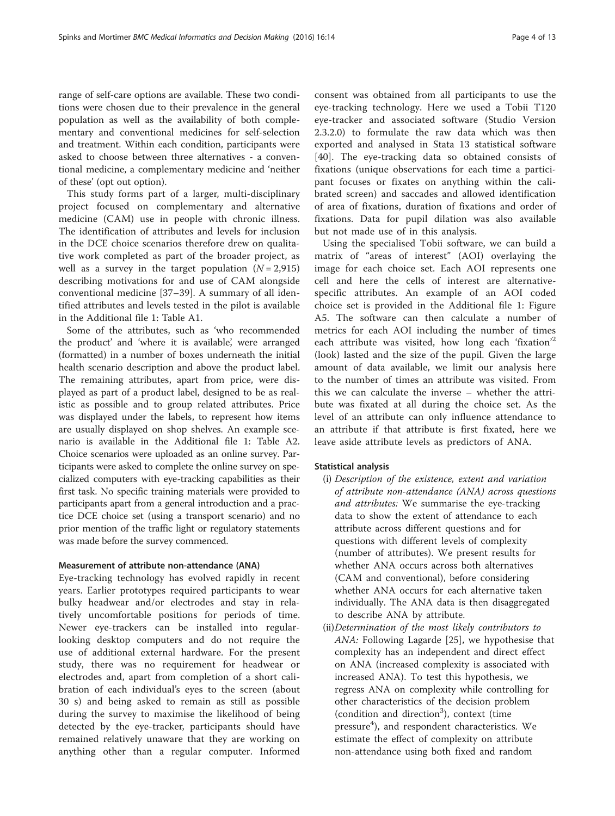range of self-care options are available. These two conditions were chosen due to their prevalence in the general population as well as the availability of both complementary and conventional medicines for self-selection and treatment. Within each condition, participants were asked to choose between three alternatives - a conventional medicine, a complementary medicine and 'neither of these' (opt out option).

This study forms part of a larger, multi-disciplinary project focused on complementary and alternative medicine (CAM) use in people with chronic illness. The identification of attributes and levels for inclusion in the DCE choice scenarios therefore drew on qualitative work completed as part of the broader project, as well as a survey in the target population  $(N = 2, 915)$ describing motivations for and use of CAM alongside conventional medicine [[37](#page--1-0)–[39\]](#page--1-0). A summary of all identified attributes and levels tested in the pilot is available in the Additional file [1:](#page-11-0) Table A1.

Some of the attributes, such as 'who recommended the product' and 'where it is available', were arranged (formatted) in a number of boxes underneath the initial health scenario description and above the product label. The remaining attributes, apart from price, were displayed as part of a product label, designed to be as realistic as possible and to group related attributes. Price was displayed under the labels, to represent how items are usually displayed on shop shelves. An example scenario is available in the Additional file [1:](#page-11-0) Table A2. Choice scenarios were uploaded as an online survey. Participants were asked to complete the online survey on specialized computers with eye-tracking capabilities as their first task. No specific training materials were provided to participants apart from a general introduction and a practice DCE choice set (using a transport scenario) and no prior mention of the traffic light or regulatory statements was made before the survey commenced.

# Measurement of attribute non-attendance (ANA)

Eye-tracking technology has evolved rapidly in recent years. Earlier prototypes required participants to wear bulky headwear and/or electrodes and stay in relatively uncomfortable positions for periods of time. Newer eye-trackers can be installed into regularlooking desktop computers and do not require the use of additional external hardware. For the present study, there was no requirement for headwear or electrodes and, apart from completion of a short calibration of each individual's eyes to the screen (about 30 s) and being asked to remain as still as possible during the survey to maximise the likelihood of being detected by the eye-tracker, participants should have remained relatively unaware that they are working on anything other than a regular computer. Informed

consent was obtained from all participants to use the eye-tracking technology. Here we used a Tobii T120 eye-tracker and associated software (Studio Version 2.3.2.0) to formulate the raw data which was then exported and analysed in Stata 13 statistical software [[40\]](#page--1-0). The eye-tracking data so obtained consists of fixations (unique observations for each time a participant focuses or fixates on anything within the calibrated screen) and saccades and allowed identification of area of fixations, duration of fixations and order of fixations. Data for pupil dilation was also available but not made use of in this analysis.

Using the specialised Tobii software, we can build a matrix of "areas of interest" (AOI) overlaying the image for each choice set. Each AOI represents one cell and here the cells of interest are alternativespecific attributes. An example of an AOI coded choice set is provided in the Additional file [1:](#page-11-0) Figure A5. The software can then calculate a number of metrics for each AOI including the number of times each attribute was visited, how long each 'fixation'<sup>2</sup> (look) lasted and the size of the pupil. Given the large amount of data available, we limit our analysis here to the number of times an attribute was visited. From this we can calculate the inverse – whether the attribute was fixated at all during the choice set. As the level of an attribute can only influence attendance to an attribute if that attribute is first fixated, here we leave aside attribute levels as predictors of ANA.

### Statistical analysis

- (i) Description of the existence, extent and variation of attribute non-attendance (ANA) across questions and attributes: We summarise the eye-tracking data to show the extent of attendance to each attribute across different questions and for questions with different levels of complexity (number of attributes). We present results for whether ANA occurs across both alternatives (CAM and conventional), before considering whether ANA occurs for each alternative taken individually. The ANA data is then disaggregated to describe ANA by attribute.
- (ii)Determination of the most likely contributors to ANA: Following Lagarde [[25](#page--1-0)], we hypothesise that complexity has an independent and direct effect on ANA (increased complexity is associated with increased ANA). To test this hypothesis, we regress ANA on complexity while controlling for other characteristics of the decision problem (condition and direction $3$ ), context (time pressure<sup>4</sup>), and respondent characteristics. We estimate the effect of complexity on attribute non-attendance using both fixed and random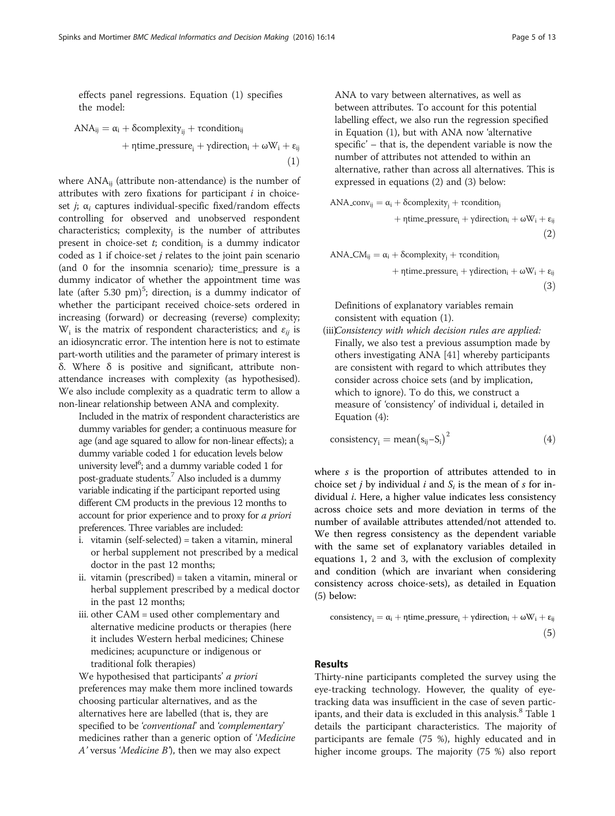effects panel regressions. Equation (1) specifies the model:

 $ANA_{ij} = \alpha_i + \delta complexity_{ji} + \tau condition_{ij}$  $+$  ηtime pressure<sub>i</sub> + γdirection<sub>i</sub> + ωW<sub>i</sub> + ε<sub>ij</sub>  $(1)$ 

where  $ANA_{ii}$  (attribute non-attendance) is the number of attributes with zero fixations for participant  $i$  in choiceset *j*;  $\alpha_i$  captures individual-specific fixed/random effects controlling for observed and unobserved respondent characteristics; complexity $_i$  is the number of attributes present in choice-set  $t$ ; condition<sub>i</sub> is a dummy indicator coded as 1 if choice-set j relates to the joint pain scenario (and 0 for the insomnia scenario); time\_pressure is a dummy indicator of whether the appointment time was late (after 5.30  $\text{pm})^5$ ; direction<sub>i</sub> is a dummy indicator of whether the participant received choice-sets ordered in increasing (forward) or decreasing (reverse) complexity;  $W_i$  is the matrix of respondent characteristics; and  $\varepsilon_{ii}$  is an idiosyncratic error. The intention here is not to estimate part-worth utilities and the parameter of primary interest is δ. Where δ is positive and significant, attribute nonattendance increases with complexity (as hypothesised). We also include complexity as a quadratic term to allow a non-linear relationship between ANA and complexity.

Included in the matrix of respondent characteristics are dummy variables for gender; a continuous measure for age (and age squared to allow for non-linear effects); a dummy variable coded 1 for education levels below university level<sup>6</sup>; and a dummy variable coded 1 for post-graduate students.7 Also included is a dummy variable indicating if the participant reported using different CM products in the previous 12 months to account for prior experience and to proxy for a priori preferences. Three variables are included:

- i. vitamin (self-selected) = taken a vitamin, mineral or herbal supplement not prescribed by a medical doctor in the past 12 months;
- ii. vitamin (prescribed) = taken a vitamin, mineral or herbal supplement prescribed by a medical doctor in the past 12 months;
- iii. other CAM = used other complementary and alternative medicine products or therapies (here it includes Western herbal medicines; Chinese medicines; acupuncture or indigenous or traditional folk therapies)

We hypothesised that participants' *a priori* preferences may make them more inclined towards choosing particular alternatives, and as the alternatives here are labelled (that is, they are specified to be 'conventional' and 'complementary' medicines rather than a generic option of 'Medicine  $A'$  versus '*Medicine B*'), then we may also expect

ANA to vary between alternatives, as well as between attributes. To account for this potential labelling effect, we also run the regression specified in Equation (1), but with ANA now 'alternative specific' – that is, the dependent variable is now the number of attributes not attended to within an alternative, rather than across all alternatives. This is expressed in equations (2) and (3) below:

ANA\_conv<sub>ij</sub> =  $\alpha_i$  + δcomplexity<sub>i</sub> + τcondition<sub>j</sub>

$$
+\ \eta time\_pressure_i + \gamma direction_i + \omega W_i + \epsilon_{ij} \tag{2}
$$

ANA  $CM_{ii} = \alpha_i + \delta$ complexity<sub>i</sub> + τcondition<sub>i</sub>

 $+$  ηtime pressure<sub>i</sub> + γdirection<sub>i</sub> + ωW<sub>i</sub> + ε<sub>ij</sub>  $(3)$ 

Definitions of explanatory variables remain consistent with equation (1).

(iii)Consistency with which decision rules are applied: Finally, we also test a previous assumption made by others investigating ANA [[41\]](#page--1-0) whereby participants are consistent with regard to which attributes they consider across choice sets (and by implication, which to ignore). To do this, we construct a measure of 'consistency' of individual i, detailed in Equation (4):

$$
consistency_i = mean(s_{ij} - S_i)^2
$$
\n(4)

where  $s$  is the proportion of attributes attended to in choice set *j* by individual *i* and  $S_i$  is the mean of *s* for individual i. Here, a higher value indicates less consistency across choice sets and more deviation in terms of the number of available attributes attended/not attended to. We then regress consistency as the dependent variable with the same set of explanatory variables detailed in equations 1, 2 and 3, with the exclusion of complexity and condition (which are invariant when considering consistency across choice-sets), as detailed in Equation (5) below:

$$
consistency_i = \alpha_i + \eta time\_pressure_i + \gamma direction_i + \omega W_i + \epsilon_{ij}
$$
\n
$$
(5)
$$

# Results

Thirty-nine participants completed the survey using the eye-tracking technology. However, the quality of eyetracking data was insufficient in the case of seven partic-ipants, and their data is excluded in this analysis.<sup>8</sup> Table [1](#page-5-0) details the participant characteristics. The majority of participants are female (75 %), highly educated and in higher income groups. The majority (75 %) also report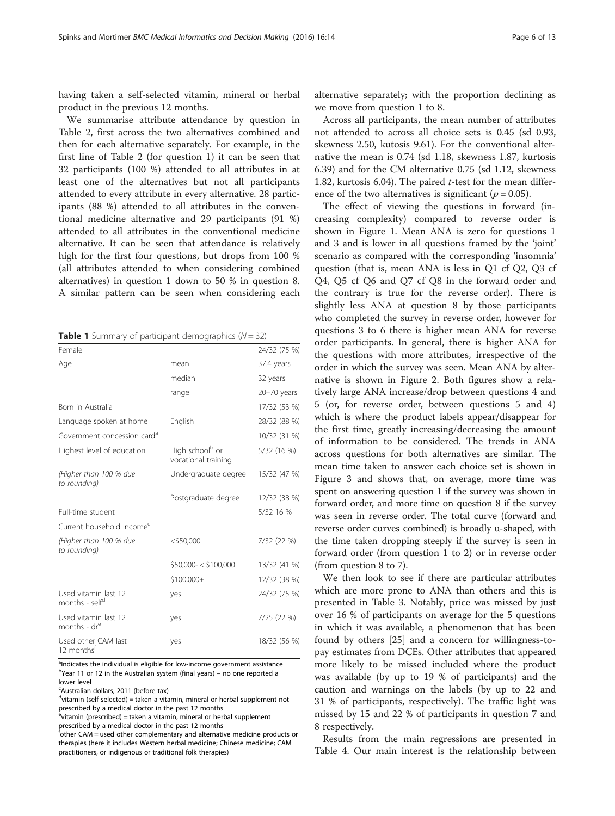<span id="page-5-0"></span>having taken a self-selected vitamin, mineral or herbal product in the previous 12 months.

We summarise attribute attendance by question in Table [2,](#page-6-0) first across the two alternatives combined and then for each alternative separately. For example, in the first line of Table [2](#page-6-0) (for question 1) it can be seen that 32 participants (100 %) attended to all attributes in at least one of the alternatives but not all participants attended to every attribute in every alternative. 28 participants (88 %) attended to all attributes in the conventional medicine alternative and 29 participants (91 %) attended to all attributes in the conventional medicine alternative. It can be seen that attendance is relatively high for the first four questions, but drops from 100 % (all attributes attended to when considering combined alternatives) in question 1 down to 50 % in question 8. A similar pattern can be seen when considering each

**Table 1** Summary of participant demographics ( $N = 32$ )

| Female                                             |                                                    | 24/32 (75 %)    |  |  |  |
|----------------------------------------------------|----------------------------------------------------|-----------------|--|--|--|
| Age                                                | mean                                               | 37.4 years      |  |  |  |
|                                                    | median                                             | 32 years        |  |  |  |
|                                                    | range                                              | $20 - 70$ years |  |  |  |
| Born in Australia                                  |                                                    | 17/32 (53 %)    |  |  |  |
| Language spoken at home                            | English                                            | 28/32 (88 %)    |  |  |  |
| Government concession card <sup>a</sup>            |                                                    | 10/32 (31 %)    |  |  |  |
| Highest level of education                         | High school <sup>b</sup> or<br>vocational training | 5/32 (16 %)     |  |  |  |
| (Higher than 100 % due<br>to rounding)             | Undergraduate degree                               | 15/32 (47 %)    |  |  |  |
|                                                    | Postgraduate degree                                | 12/32 (38 %)    |  |  |  |
| Full-time student                                  |                                                    | 5/32 16 %       |  |  |  |
| Current household income <sup>c</sup>              |                                                    |                 |  |  |  |
| (Higher than 100 % due<br>to rounding)             | $<$ \$50,000                                       | 7/32 (22 %)     |  |  |  |
|                                                    | $$50,000 - $100,000$                               | 13/32 (41 %)    |  |  |  |
|                                                    | $$100,000+$                                        | 12/32 (38 %)    |  |  |  |
| Used vitamin last 12<br>months - self <sup>d</sup> | yes                                                | 24/32 (75 %)    |  |  |  |
| Used vitamin last 12<br>months - $dr^e$            | yes                                                | 7/25 (22 %)     |  |  |  |
| Used other CAM last<br>12 months <sup>t</sup>      | yes                                                | 18/32 (56 %)    |  |  |  |

<sup>a</sup>Indicates the individual is eligible for low-income government assistance <sup>b</sup>Year 11 or 12 in the Australian system (final years) - no one reported a lower level

<sup>c</sup>Australian dollars, 2011 (before tax)

<sup>d</sup>vitamin (self-selected) = taken a vitamin, mineral or herbal supplement not prescribed by a medical doctor in the past 12 months

e vitamin (prescribed) = taken a vitamin, mineral or herbal supplement prescribed by a medical doctor in the past 12 months

<sup>f</sup>other CAM = used other complementary and alternative medicine products or therapies (here it includes Western herbal medicine; Chinese medicine; CAM practitioners, or indigenous or traditional folk therapies)

alternative separately; with the proportion declining as we move from question 1 to 8.

Across all participants, the mean number of attributes not attended to across all choice sets is 0.45 (sd 0.93, skewness 2.50, kutosis 9.61). For the conventional alternative the mean is 0.74 (sd 1.18, skewness 1.87, kurtosis 6.39) and for the CM alternative 0.75 (sd 1.12, skewness 1.82, kurtosis 6.04). The paired *t*-test for the mean difference of the two alternatives is significant ( $p = 0.05$ ).

The effect of viewing the questions in forward (increasing complexity) compared to reverse order is shown in Figure [1.](#page-6-0) Mean ANA is zero for questions 1 and 3 and is lower in all questions framed by the 'joint' scenario as compared with the corresponding 'insomnia' question (that is, mean ANA is less in Q1 cf Q2, Q3 cf Q4, Q5 cf Q6 and Q7 cf Q8 in the forward order and the contrary is true for the reverse order). There is slightly less ANA at question 8 by those participants who completed the survey in reverse order, however for questions 3 to 6 there is higher mean ANA for reverse order participants. In general, there is higher ANA for the questions with more attributes, irrespective of the order in which the survey was seen. Mean ANA by alternative is shown in Figure [2](#page-7-0). Both figures show a relatively large ANA increase/drop between questions 4 and 5 (or, for reverse order, between questions 5 and 4) which is where the product labels appear/disappear for the first time, greatly increasing/decreasing the amount of information to be considered. The trends in ANA across questions for both alternatives are similar. The mean time taken to answer each choice set is shown in Figure [3](#page-7-0) and shows that, on average, more time was spent on answering question 1 if the survey was shown in forward order, and more time on question 8 if the survey was seen in reverse order. The total curve (forward and reverse order curves combined) is broadly u-shaped, with the time taken dropping steeply if the survey is seen in forward order (from question 1 to 2) or in reverse order (from question 8 to 7).

We then look to see if there are particular attributes which are more prone to ANA than others and this is presented in Table [3](#page-8-0). Notably, price was missed by just over 16 % of participants on average for the 5 questions in which it was available, a phenomenon that has been found by others [[25\]](#page--1-0) and a concern for willingness-topay estimates from DCEs. Other attributes that appeared more likely to be missed included where the product was available (by up to 19 % of participants) and the caution and warnings on the labels (by up to 22 and 31 % of participants, respectively). The traffic light was missed by 15 and 22 % of participants in question 7 and 8 respectively.

Results from the main regressions are presented in Table [4](#page-9-0). Our main interest is the relationship between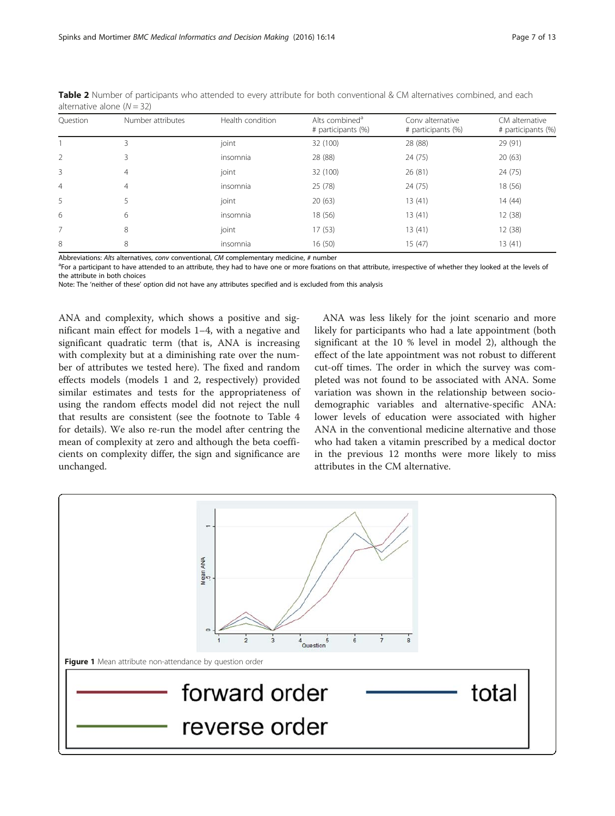| Ouestion       | Number attributes | Health condition | Alts combined <sup>a</sup><br># participants (%) | Conv alternative<br># participants (%) | CM alternative<br># participants (%) |
|----------------|-------------------|------------------|--------------------------------------------------|----------------------------------------|--------------------------------------|
|                | 3                 | joint            | 32 (100)                                         | 28 (88)                                | 29 (91)                              |
| 2              | 3                 | insomnia         | 28 (88)                                          | 24 (75)                                | 20(63)                               |
| 3              | 4                 | joint            | 32 (100)                                         | 26(81)                                 | 24 (75)                              |
| $\overline{4}$ | $\overline{4}$    | insomnia         | 25(78)                                           | 24 (75)                                | 18 (56)                              |
| 5              | 5                 | joint            | 20(63)                                           | 13(41)                                 | 14 (44)                              |
| 6              | 6                 | insomnia         | 18 (56)                                          | 13 (41)                                | 12(38)                               |
| 7              | 8                 | joint            | 17(53)                                           | 13 (41)                                | 12(38)                               |
| 8              | 8                 | insomnia         | 16(50)                                           | 15(47)                                 | 13(41)                               |

<span id="page-6-0"></span>Table 2 Number of participants who attended to every attribute for both conventional & CM alternatives combined, and each alternative alone  $(N = 32)$ 

Abbreviations: Alts alternatives, conv conventional, CM complementary medicine, # number

<sup>a</sup>For a participant to have attended to an attribute, they had to have one or more fixations on that attribute, irrespective of whether they looked at the levels of the attribute in both choices

Note: The 'neither of these' option did not have any attributes specified and is excluded from this analysis

ANA and complexity, which shows a positive and significant main effect for models 1–4, with a negative and significant quadratic term (that is, ANA is increasing with complexity but at a diminishing rate over the number of attributes we tested here). The fixed and random effects models (models 1 and 2, respectively) provided similar estimates and tests for the appropriateness of using the random effects model did not reject the null that results are consistent (see the footnote to Table [4](#page-9-0) for details). We also re-run the model after centring the mean of complexity at zero and although the beta coefficients on complexity differ, the sign and significance are unchanged.

ANA was less likely for the joint scenario and more likely for participants who had a late appointment (both significant at the 10 % level in model 2), although the effect of the late appointment was not robust to different cut-off times. The order in which the survey was completed was not found to be associated with ANA. Some variation was shown in the relationship between sociodemographic variables and alternative-specific ANA: lower levels of education were associated with higher ANA in the conventional medicine alternative and those who had taken a vitamin prescribed by a medical doctor in the previous 12 months were more likely to miss attributes in the CM alternative.

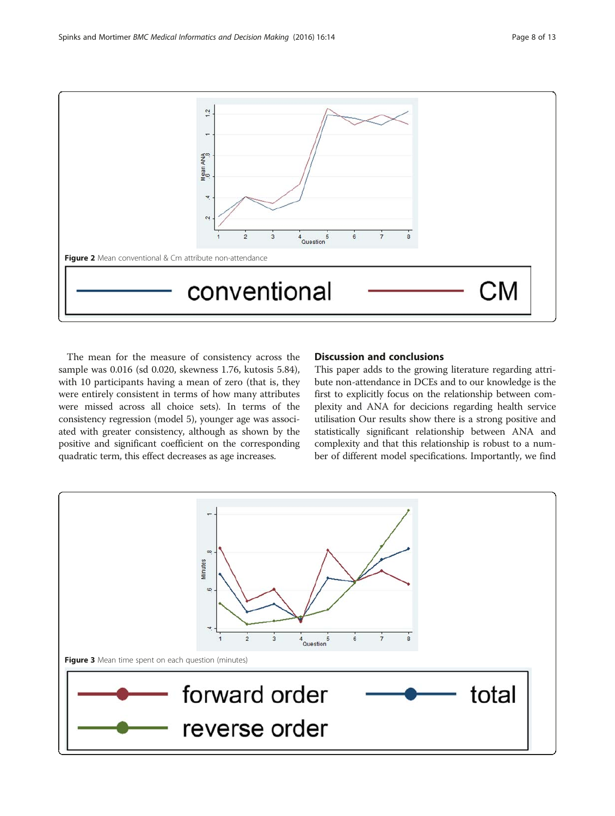<span id="page-7-0"></span>

The mean for the measure of consistency across the sample was 0.016 (sd 0.020, skewness 1.76, kutosis 5.84), with 10 participants having a mean of zero (that is, they were entirely consistent in terms of how many attributes were missed across all choice sets). In terms of the consistency regression (model 5), younger age was associated with greater consistency, although as shown by the positive and significant coefficient on the corresponding quadratic term, this effect decreases as age increases.

# Discussion and conclusions

This paper adds to the growing literature regarding attribute non-attendance in DCEs and to our knowledge is the first to explicitly focus on the relationship between complexity and ANA for decicions regarding health service utilisation Our results show there is a strong positive and statistically significant relationship between ANA and complexity and that this relationship is robust to a number of different model specifications. Importantly, we find

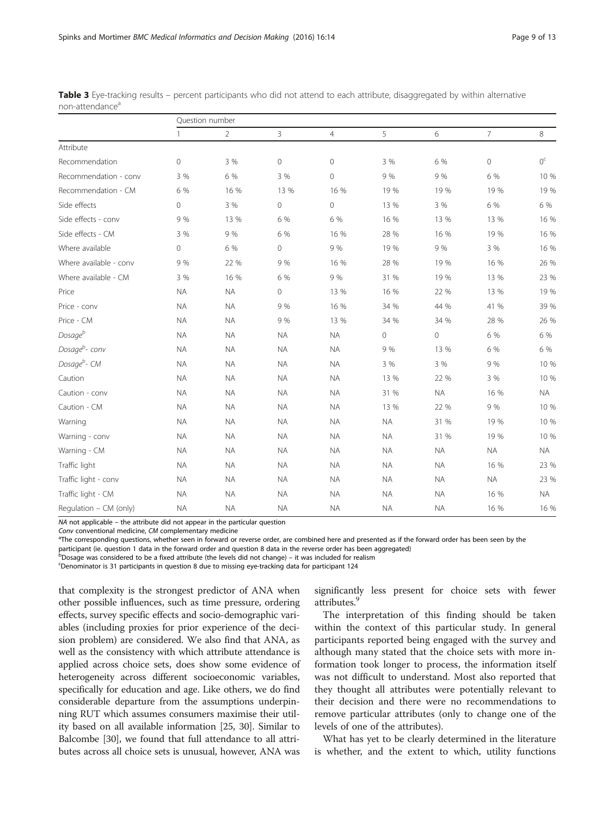|                           | Question number |                |           |                |           |             |                |                |  |  |  |
|---------------------------|-----------------|----------------|-----------|----------------|-----------|-------------|----------------|----------------|--|--|--|
|                           | 1               | $\overline{2}$ | 3         | $\overline{4}$ | 5         | 6           | $\overline{7}$ | 8              |  |  |  |
| Attribute                 |                 |                |           |                |           |             |                |                |  |  |  |
| Recommendation            | $\mathbf{0}$    | 3 %            | $\circ$   | $\mathbf{0}$   | 3 %       | 6 %         | $\mathbf{0}$   | 0 <sup>c</sup> |  |  |  |
| Recommendation - conv     | 3 %             | 6 %            | 3 %       | 0              | 9 %       | 9 %         | 6 %            | 10 %           |  |  |  |
| Recommendation - CM       | 6 %             | 16 %           | 13 %      | 16 %           | 19 %      | 19 %        | 19 %           | 19 %           |  |  |  |
| Side effects              | $\mathbf{0}$    | 3 %            | $\circ$   | $\mathbf{0}$   | 13 %      | 3 %         | 6 %            | 6 %            |  |  |  |
| Side effects - conv       | 9 %             | 13 %           | 6 %       | 6 %            | 16 %      | 13 %        | 13 %           | 16 %           |  |  |  |
| Side effects - CM         | 3 %             | 9 %            | 6 %       | 16 %           | 28 %      | 16 %        | 19 %           | 16 %           |  |  |  |
| Where available           | $\circ$         | 6 %            | 0         | 9 %            | 19 %      | 9 %         | 3 %            | 16 %           |  |  |  |
| Where available - conv    | 9 %             | 22 %           | 9 %       | 16 %           | 28 %      | 19 %        | 16 %           | 26 %           |  |  |  |
| Where available - CM      | 3 %             | 16 %           | 6 %       | 9 %            | 31 %      | 19 %        | 13 %           | 23 %           |  |  |  |
| Price                     | <b>NA</b>       | <b>NA</b>      | 0         | 13 %           | 16 %      | 22 %        | 13 %           | 19 %           |  |  |  |
| Price - conv              | <b>NA</b>       | <b>NA</b>      | 9 %       | 16 %           | 34 %      | 44 %        | 41 %           | 39 %           |  |  |  |
| Price - CM                | <b>NA</b>       | <b>NA</b>      | 9 %       | 13 %           | 34 %      | 34 %        | 28 %           | 26 %           |  |  |  |
| Dosage <sup>b</sup>       | <b>NA</b>       | <b>NA</b>      | <b>NA</b> | <b>NA</b>      | 0         | $\mathbf 0$ | 6 %            | 6 %            |  |  |  |
| Dosage <sup>b</sup> -conv | <b>NA</b>       | <b>NA</b>      | <b>NA</b> | <b>NA</b>      | 9 %       | 13 %        | 6 %            | 6 %            |  |  |  |
| Dosage <sup>b</sup> - CM  | <b>NA</b>       | <b>NA</b>      | <b>NA</b> | <b>NA</b>      | 3 %       | 3 %         | 9 %            | 10 %           |  |  |  |
| Caution                   | <b>NA</b>       | <b>NA</b>      | <b>NA</b> | <b>NA</b>      | 13 %      | 22 %        | 3 %            | 10 %           |  |  |  |
| Caution - conv            | <b>NA</b>       | <b>NA</b>      | <b>NA</b> | <b>NA</b>      | 31 %      | <b>NA</b>   | 16 %           | <b>NA</b>      |  |  |  |
| Caution - CM              | <b>NA</b>       | <b>NA</b>      | <b>NA</b> | <b>NA</b>      | 13 %      | 22 %        | 9 %            | 10 %           |  |  |  |
| Warning                   | <b>NA</b>       | <b>NA</b>      | <b>NA</b> | <b>NA</b>      | <b>NA</b> | 31 %        | 19 %           | 10 %           |  |  |  |
| Warning - conv            | <b>NA</b>       | <b>NA</b>      | <b>NA</b> | <b>NA</b>      | <b>NA</b> | 31 %        | 19 %           | 10 %           |  |  |  |
| Warning - CM              | <b>NA</b>       | <b>NA</b>      | <b>NA</b> | <b>NA</b>      | <b>NA</b> | <b>NA</b>   | <b>NA</b>      | <b>NA</b>      |  |  |  |
| Traffic light             | <b>NA</b>       | <b>NA</b>      | <b>NA</b> | <b>NA</b>      | <b>NA</b> | <b>NA</b>   | 16 %           | 23 %           |  |  |  |
| Traffic light - conv      | <b>NA</b>       | <b>NA</b>      | <b>NA</b> | <b>NA</b>      | <b>NA</b> | <b>NA</b>   | <b>NA</b>      | 23 %           |  |  |  |
| Traffic light - CM        | <b>NA</b>       | <b>NA</b>      | <b>NA</b> | <b>NA</b>      | <b>NA</b> | <b>NA</b>   | 16 %           | <b>NA</b>      |  |  |  |
| Regulation - CM (only)    | <b>NA</b>       | <b>NA</b>      | <b>NA</b> | <b>NA</b>      | <b>NA</b> | <b>NA</b>   | 16 %           | 16 %           |  |  |  |

<span id="page-8-0"></span>Table 3 Eye-tracking results – percent participants who did not attend to each attribute, disaggregated by within alternative non-attendance<sup>a</sup>

NA not applicable – the attribute did not appear in the particular question

Conv conventional medicine, CM complementary medicine

<sup>a</sup>The corresponding questions, whether seen in forward or reverse order, are combined here and presented as if the forward order has been seen by the

participant (ie. question 1 data in the forward order and question 8 data in the reverse order has been aggregated)

b<sub></sub><br>Bosage was considered to be a fixed attribute (the levels did not change) – it was included for realism<br>Conceninator is 21 participants in question 8 due to missing over tracking data for participant 124

Denominator is 31 participants in question 8 due to missing eye-tracking data for participant 124

that complexity is the strongest predictor of ANA when other possible influences, such as time pressure, ordering effects, survey specific effects and socio-demographic variables (including proxies for prior experience of the decision problem) are considered. We also find that ANA, as well as the consistency with which attribute attendance is applied across choice sets, does show some evidence of heterogeneity across different socioeconomic variables, specifically for education and age. Like others, we do find considerable departure from the assumptions underpinning RUT which assumes consumers maximise their utility based on all available information [\[25, 30](#page--1-0)]. Similar to Balcombe [[30](#page--1-0)], we found that full attendance to all attributes across all choice sets is unusual, however, ANA was

significantly less present for choice sets with fewer attributes.<sup>9</sup>

The interpretation of this finding should be taken within the context of this particular study. In general participants reported being engaged with the survey and although many stated that the choice sets with more information took longer to process, the information itself was not difficult to understand. Most also reported that they thought all attributes were potentially relevant to their decision and there were no recommendations to remove particular attributes (only to change one of the levels of one of the attributes).

What has yet to be clearly determined in the literature is whether, and the extent to which, utility functions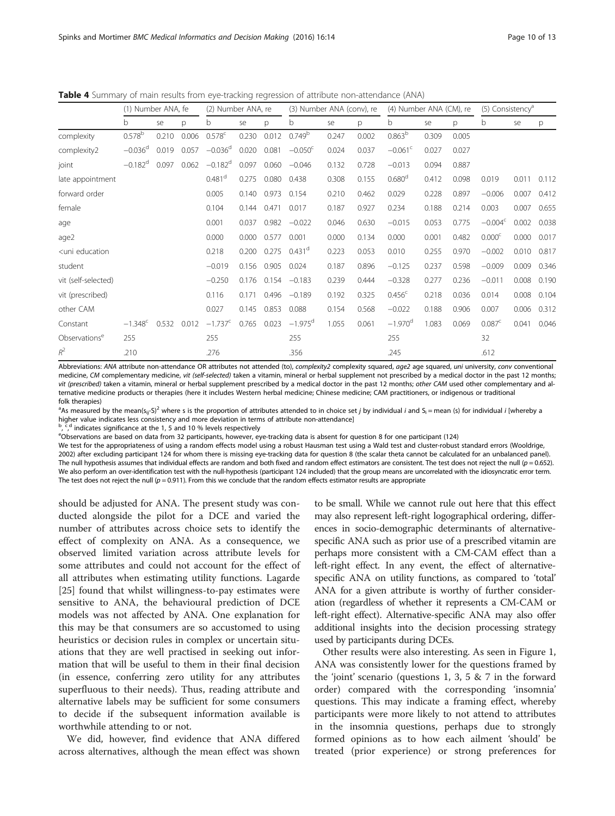<span id="page-9-0"></span>**Table 4** Summary of main results from eye-tracking regression of attribute non-attendance (ANA)

|                                                                                                                                                                                                                                                                           | (1) Number ANA, fe    |       | (2) Number ANA, re |                       |       | (3) Number ANA (conv), re |                       | (4) Number ANA (CM), re |       |                       | (5) Consistency <sup>a</sup> |       |                    |       |       |
|---------------------------------------------------------------------------------------------------------------------------------------------------------------------------------------------------------------------------------------------------------------------------|-----------------------|-------|--------------------|-----------------------|-------|---------------------------|-----------------------|-------------------------|-------|-----------------------|------------------------------|-------|--------------------|-------|-------|
|                                                                                                                                                                                                                                                                           | b                     | se    | p                  | b                     | se    | p                         | b                     | se                      | p     | b.                    | se                           | p     | b                  | se    | р     |
| complexity                                                                                                                                                                                                                                                                | 0.578 <sup>b</sup>    | 0.210 | 0.006              | $0.578^{c}$           | 0.230 | 0.012                     | 0.749 <sup>b</sup>    | 0.247                   | 0.002 | 0.863 <sup>b</sup>    | 0.309                        | 0.005 |                    |       |       |
| complexity2                                                                                                                                                                                                                                                               | $-0.036$ <sup>d</sup> | 0.019 | 0.057              | $-0.036$ <sup>d</sup> | 0.020 | 0.081                     | $-0.050^{\circ}$      | 0.024                   | 0.037 | $-0.061c$             | 0.027                        | 0.027 |                    |       |       |
| joint                                                                                                                                                                                                                                                                     | $-0.182$ <sup>d</sup> | 0.097 | 0.062              | $-0.182$ <sup>d</sup> | 0.097 | 0.060                     | $-0.046$              | 0.132                   | 0.728 | $-0.013$              | 0.094                        | 0.887 |                    |       |       |
| late appointment                                                                                                                                                                                                                                                          |                       |       |                    | $0.481$ <sup>d</sup>  | 0.275 | 0.080                     | 0.438                 | 0.308                   | 0.155 | 0.680 <sup>d</sup>    | 0.412                        | 0.098 | 0.019              | 0.011 | 0.112 |
| forward order                                                                                                                                                                                                                                                             |                       |       |                    | 0.005                 | 0.140 | 0.973                     | 0.154                 | 0.210                   | 0.462 | 0.029                 | 0.228                        | 0.897 | $-0.006$           | 0.007 | 0.412 |
| female                                                                                                                                                                                                                                                                    |                       |       |                    | 0.104                 | 0.144 | 0.471                     | 0.017                 | 0.187                   | 0.927 | 0.234                 | 0.188                        | 0.214 | 0.003              | 0.007 | 0.655 |
| age                                                                                                                                                                                                                                                                       |                       |       |                    | 0.001                 | 0.037 | 0.982                     | $-0.022$              | 0.046                   | 0.630 | $-0.015$              | 0.053                        | 0.775 | $-0.004c$          | 0.002 | 0.038 |
| age2                                                                                                                                                                                                                                                                      |                       |       |                    | 0.000                 | 0.000 | 0.577                     | 0.001                 | 0.000                   | 0.134 | 0.000                 | 0.001                        | 0.482 | 0.000 <sup>c</sup> | 0.000 | 0.017 |
| <uni education<="" td=""><td></td><td></td><td></td><td>0.218</td><td>0.200</td><td>0.275</td><td><math>0.431</math><sup>d</sup></td><td>0.223</td><td>0.053</td><td>0.010</td><td>0.255</td><td>0.970</td><td><math>-0.002</math></td><td>0.010</td><td>0.817</td></uni> |                       |       |                    | 0.218                 | 0.200 | 0.275                     | $0.431$ <sup>d</sup>  | 0.223                   | 0.053 | 0.010                 | 0.255                        | 0.970 | $-0.002$           | 0.010 | 0.817 |
| student                                                                                                                                                                                                                                                                   |                       |       |                    | $-0.019$              | 0.156 | 0.905                     | 0.024                 | 0.187                   | 0.896 | $-0.125$              | 0.237                        | 0.598 | $-0.009$           | 0.009 | 0.346 |
| vit (self-selected)                                                                                                                                                                                                                                                       |                       |       |                    | $-0.250$              | 0.176 |                           | $0.154 -0.183$        | 0.239                   | 0.444 | $-0.328$              | 0.277                        | 0.236 | $-0.011$           | 0.008 | 0.190 |
| vit (prescribed)                                                                                                                                                                                                                                                          |                       |       |                    | 0.116                 | 0.171 | 0.496                     | $-0.189$              | 0.192                   | 0.325 | 0.456 <sup>c</sup>    | 0.218                        | 0.036 | 0.014              | 0.008 | 0.104 |
| other CAM                                                                                                                                                                                                                                                                 |                       |       |                    | 0.027                 | 0.145 | 0.853                     | 0.088                 | 0.154                   | 0.568 | $-0.022$              | 0.188                        | 0.906 | 0.007              | 0.006 | 0.312 |
| Constant                                                                                                                                                                                                                                                                  | $-1.348$ <sup>c</sup> | 0.532 | 0.012              | $-1.737$ <sup>c</sup> | 0.765 | 0.023                     | $-1.975$ <sup>d</sup> | 1.055                   | 0.061 | $-1.970$ <sup>d</sup> | 1.083                        | 0.069 | 0.087 <sup>c</sup> | 0.041 | 0.046 |
| Observations <sup>e</sup>                                                                                                                                                                                                                                                 | 255                   |       |                    | 255                   |       |                           | 255                   |                         |       | 255                   |                              |       | 32                 |       |       |
| $R^2$                                                                                                                                                                                                                                                                     | .210                  |       |                    | .276                  |       |                           | .356                  |                         |       | .245                  |                              |       | .612               |       |       |

Abbreviations: ANA attribute non-attendance OR attributes not attended (to), complexity2 complexity squared, age2 age squared, uni university, conv conventional medicine, CM complementary medicine, vit (self-selected) taken a vitamin, mineral or herbal supplement not prescribed by a medical doctor in the past 12 months; vit (prescribed) taken a vitamin, mineral or herbal supplement prescribed by a medical doctor in the past 12 months; other CAM used other complementary and alternative medicine products or therapies (here it includes Western herbal medicine; Chinese medicine; CAM practitioners, or indigenous or traditional folk therapies)

<sup>a</sup>As measured by the mean(s<sub>ij</sub>-S)<sup>2</sup> where s is the proportion of attributes attended to in choice set *j* by individual *i* and S<sub>i</sub> = mean (s) for individual *i* [whereby a higher value indicates less consistency and more deviation in terms of attribute non-attendance]

 $b, \bar{c}$  indicates significance at the 1, 5 and 10 % levels respectively<br>  $c, b, c$  indicates significance at the 1, 5 and 10 % levels respectively ,

Observations are based on data from 32 participants, however, eye-tracking data is absent for question 8 for one participant (124)

We test for the appropriateness of using a random effects model using a robust Hausman test using a Wald test and cluster-robust standard errors (Wooldrige, 2002) after excluding participant 124 for whom there is missing eye-tracking data for question 8 (the scalar theta cannot be calculated for an unbalanced panel). The null hypothesis assumes that individual effects are random and both fixed and random effect estimators are consistent. The test does not reject the null ( $p = 0.652$ ). We also perform an over-identification test with the null-hypothesis (participant 124 included) that the group means are uncorrelated with the idiosyncratic error term. The test does not reject the null ( $p = 0.911$ ). From this we conclude that the random effects estimator results are appropriate

should be adjusted for ANA. The present study was conducted alongside the pilot for a DCE and varied the number of attributes across choice sets to identify the effect of complexity on ANA. As a consequence, we observed limited variation across attribute levels for some attributes and could not account for the effect of all attributes when estimating utility functions. Lagarde [[25\]](#page--1-0) found that whilst willingness-to-pay estimates were sensitive to ANA, the behavioural prediction of DCE models was not affected by ANA. One explanation for this may be that consumers are so accustomed to using heuristics or decision rules in complex or uncertain situations that they are well practised in seeking out information that will be useful to them in their final decision (in essence, conferring zero utility for any attributes superfluous to their needs). Thus, reading attribute and alternative labels may be sufficient for some consumers to decide if the subsequent information available is worthwhile attending to or not.

We did, however, find evidence that ANA differed across alternatives, although the mean effect was shown to be small. While we cannot rule out here that this effect may also represent left-right logographical ordering, differences in socio-demographic determinants of alternativespecific ANA such as prior use of a prescribed vitamin are perhaps more consistent with a CM-CAM effect than a left-right effect. In any event, the effect of alternativespecific ANA on utility functions, as compared to 'total' ANA for a given attribute is worthy of further consideration (regardless of whether it represents a CM-CAM or left-right effect). Alternative-specific ANA may also offer additional insights into the decision processing strategy used by participants during DCEs.

Other results were also interesting. As seen in Figure [1](#page-6-0), ANA was consistently lower for the questions framed by the 'joint' scenario (questions 1, 3, 5 & 7 in the forward order) compared with the corresponding 'insomnia' questions. This may indicate a framing effect, whereby participants were more likely to not attend to attributes in the insomnia questions, perhaps due to strongly formed opinions as to how each ailment 'should' be treated (prior experience) or strong preferences for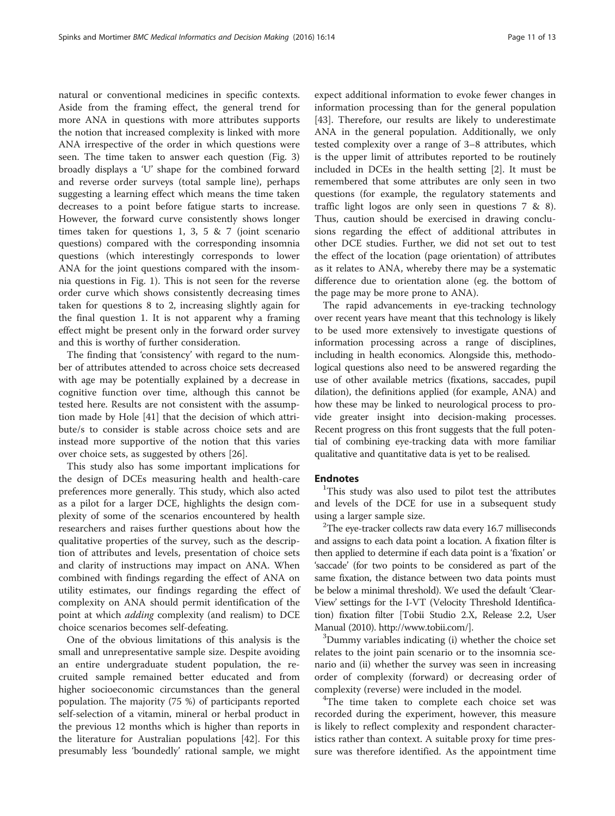natural or conventional medicines in specific contexts. Aside from the framing effect, the general trend for more ANA in questions with more attributes supports the notion that increased complexity is linked with more ANA irrespective of the order in which questions were seen. The time taken to answer each question (Fig. [3](#page-7-0)) broadly displays a 'U' shape for the combined forward and reverse order surveys (total sample line), perhaps suggesting a learning effect which means the time taken decreases to a point before fatigue starts to increase. However, the forward curve consistently shows longer times taken for questions 1, 3, 5 & 7 (joint scenario questions) compared with the corresponding insomnia questions (which interestingly corresponds to lower ANA for the joint questions compared with the insomnia questions in Fig. [1\)](#page-6-0). This is not seen for the reverse order curve which shows consistently decreasing times taken for questions 8 to 2, increasing slightly again for the final question 1. It is not apparent why a framing effect might be present only in the forward order survey and this is worthy of further consideration.

The finding that 'consistency' with regard to the number of attributes attended to across choice sets decreased with age may be potentially explained by a decrease in cognitive function over time, although this cannot be tested here. Results are not consistent with the assumption made by Hole [\[41](#page--1-0)] that the decision of which attribute/s to consider is stable across choice sets and are instead more supportive of the notion that this varies over choice sets, as suggested by others [[26](#page--1-0)].

This study also has some important implications for the design of DCEs measuring health and health-care preferences more generally. This study, which also acted as a pilot for a larger DCE, highlights the design complexity of some of the scenarios encountered by health researchers and raises further questions about how the qualitative properties of the survey, such as the description of attributes and levels, presentation of choice sets and clarity of instructions may impact on ANA. When combined with findings regarding the effect of ANA on utility estimates, our findings regarding the effect of complexity on ANA should permit identification of the point at which adding complexity (and realism) to DCE choice scenarios becomes self-defeating.

One of the obvious limitations of this analysis is the small and unrepresentative sample size. Despite avoiding an entire undergraduate student population, the recruited sample remained better educated and from higher socioeconomic circumstances than the general population. The majority (75 %) of participants reported self-selection of a vitamin, mineral or herbal product in the previous 12 months which is higher than reports in the literature for Australian populations [[42\]](#page--1-0). For this presumably less 'boundedly' rational sample, we might

expect additional information to evoke fewer changes in information processing than for the general population [[43\]](#page--1-0). Therefore, our results are likely to underestimate ANA in the general population. Additionally, we only tested complexity over a range of 3–8 attributes, which is the upper limit of attributes reported to be routinely included in DCEs in the health setting [[2\]](#page-11-0). It must be remembered that some attributes are only seen in two questions (for example, the regulatory statements and traffic light logos are only seen in questions 7 & 8). Thus, caution should be exercised in drawing conclusions regarding the effect of additional attributes in other DCE studies. Further, we did not set out to test the effect of the location (page orientation) of attributes as it relates to ANA, whereby there may be a systematic difference due to orientation alone (eg. the bottom of the page may be more prone to ANA).

The rapid advancements in eye-tracking technology over recent years have meant that this technology is likely to be used more extensively to investigate questions of information processing across a range of disciplines, including in health economics. Alongside this, methodological questions also need to be answered regarding the use of other available metrics (fixations, saccades, pupil dilation), the definitions applied (for example, ANA) and how these may be linked to neurological process to provide greater insight into decision-making processes. Recent progress on this front suggests that the full potential of combining eye-tracking data with more familiar qualitative and quantitative data is yet to be realised.

# **Endnotes**

<sup>1</sup>This study was also used to pilot test the attributes and levels of the DCE for use in a subsequent study using a larger sample size. <sup>2</sup>

 $2$ The eye-tracker collects raw data every 16.7 milliseconds and assigns to each data point a location. A fixation filter is then applied to determine if each data point is a 'fixation' or 'saccade' (for two points to be considered as part of the same fixation, the distance between two data points must be below a minimal threshold). We used the default 'Clear-View' settings for the I-VT (Velocity Threshold Identification) fixation filter [Tobii Studio 2.X, Release 2.2, User Manual (2010). [http://www.tobii.com/\]](http://www.tobii.com/). <sup>3</sup>

 $3$ Dummy variables indicating (i) whether the choice set relates to the joint pain scenario or to the insomnia scenario and (ii) whether the survey was seen in increasing order of complexity (forward) or decreasing order of complexity (reverse) were included in the model. <sup>4</sup>

<sup>4</sup>The time taken to complete each choice set was recorded during the experiment, however, this measure is likely to reflect complexity and respondent characteristics rather than context. A suitable proxy for time pressure was therefore identified. As the appointment time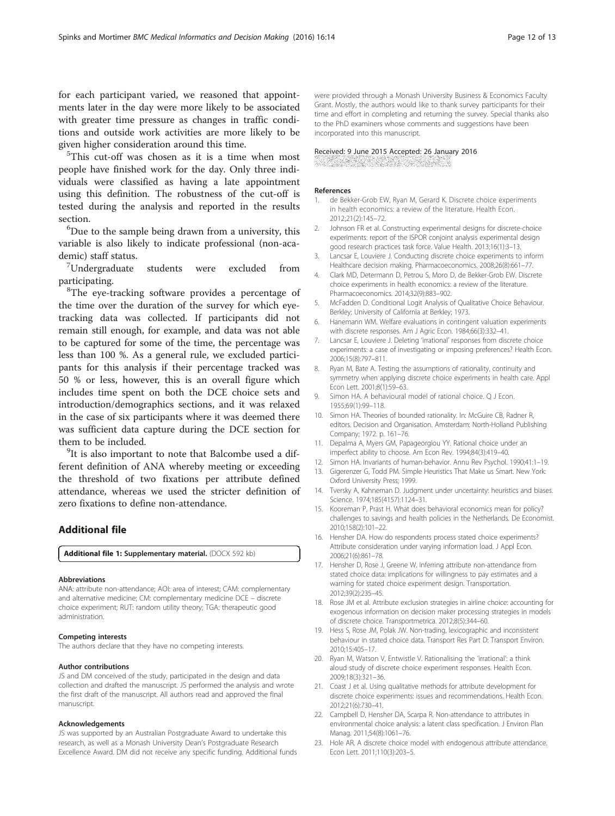<span id="page-11-0"></span>for each participant varied, we reasoned that appointments later in the day were more likely to be associated with greater time pressure as changes in traffic conditions and outside work activities are more likely to be given higher consideration around this time. <sup>5</sup>

<sup>5</sup>This cut-off was chosen as it is a time when most people have finished work for the day. Only three individuals were classified as having a late appointment using this definition. The robustness of the cut-off is tested during the analysis and reported in the results section.

 ${}^{6}$ Due to the sample being drawn from a university, this variable is also likely to indicate professional (non-academic) staff status.

<sup>7</sup>Undergraduate students were excluded from participating.

<sup>8</sup>The eye-tracking software provides a percentage of the time over the duration of the survey for which eyetracking data was collected. If participants did not remain still enough, for example, and data was not able to be captured for some of the time, the percentage was less than 100 %. As a general rule, we excluded participants for this analysis if their percentage tracked was 50 % or less, however, this is an overall figure which includes time spent on both the DCE choice sets and introduction/demographics sections, and it was relaxed in the case of six participants where it was deemed there was sufficient data capture during the DCE section for them to be included.

<sup>9</sup>It is also important to note that Balcombe used a different definition of ANA whereby meeting or exceeding the threshold of two fixations per attribute defined attendance, whereas we used the stricter definition of zero fixations to define non-attendance.

### Additional file

[Additional file 1:](dx.doi.org/10.1186/s12911-016-0251-1) Supplementary material. (DOCX 592 kb)

### Abbreviations

ANA: attribute non-attendance; AOI: area of interest; CAM: complementary and alternative medicine; CM: complementary medicine DCE – discrete choice experiment; RUT: random utility theory; TGA: therapeutic good administration.

#### Competing interests

The authors declare that they have no competing interests.

### Author contributions

JS and DM conceived of the study, participated in the design and data collection and drafted the manuscript. JS performed the analysis and wrote the first draft of the manuscript. All authors read and approved the final manuscript.

#### Acknowledgements

JS was supported by an Australian Postgraduate Award to undertake this research, as well as a Monash University Dean's Postgraduate Research Excellence Award. DM did not receive any specific funding. Additional funds

were provided through a Monash University Business & Economics Faculty Grant. Mostly, the authors would like to thank survey participants for their time and effort in completing and returning the survey. Special thanks also to the PhD examiners whose comments and suggestions have been incorporated into this manuscript.

#### Received: 9 June 2015 Accepted: 26 January 2016

#### References

- 1. de Bekker-Grob EW, Ryan M, Gerard K. Discrete choice experiments in health economics: a review of the literature. Health Econ. 2012;21(2):145–72.
- 2. Johnson FR et al. Constructing experimental designs for discrete-choice experiments: report of the ISPOR conjoint analysis experimental design good research practices task force. Value Health. 2013;16(1):3–13.
- 3. Lancsar E, Louviere J. Conducting discrete choice experiments to inform Healthcare decision making. Pharmacoeconomics. 2008;26(8):661–77.
- 4. Clark MD, Determann D, Petrou S, Moro D, de Bekker-Grob EW. Discrete choice experiments in health economics: a review of the literature. Pharmacoeconomics. 2014;32(9):883–902.
- 5. McFadden D. Conditional Logit Analysis of Qualitative Choice Behaviour. Berkley: University of California at Berkley; 1973.
- 6. Hanemann WM. Welfare evaluations in contingent valuation experiments with discrete responses. Am J Agric Econ. 1984;66(3):332–41.
- 7. Lancsar E, Louviere J. Deleting 'irrational' responses from discrete choice experiments: a case of investigating or imposing preferences? Health Econ. 2006;15(8):797–811.
- 8. Ryan M, Bate A. Testing the assumptions of rationality, continuity and symmetry when applying discrete choice experiments in health care. Appl Econ Lett. 2001;8(1):59–63.
- 9. Simon HA. A behavioural model of rational choice. Q J Econ. 1955;69(1):99–118.
- 10. Simon HA. Theories of bounded rationality. In: McGuire CB, Radner R, editors. Decision and Organisation. Amsterdam: North-Holland Publishing Company; 1972. p. 161–76.
- 11. Depalma A, Myers GM, Papageorgiou YY. Rational choice under an imperfect ability to choose. Am Econ Rev. 1994;84(3):419–40.
- 12. Simon HA. Invariants of human-behavior. Annu Rev Psychol. 1990;41:1–19.
- 13. Gigerenzer G, Todd PM. Simple Heuristics That Make us Smart. New York: Oxford University Press; 1999.
- 14. Tversky A, Kahneman D. Judgment under uncertainty: heuristics and biases. Science. 1974;185(4157):1124–31.
- 15. Kooreman P, Prast H. What does behavioral economics mean for policy? challenges to savings and health policies in the Netherlands. De Economist. 2010;158(2):101–22.
- 16. Hensher DA. How do respondents process stated choice experiments? Attribute consideration under varying information load. J Appl Econ. 2006;21(6):861–78.
- 17. Hensher D, Rose J, Greene W. Inferring attribute non-attendance from stated choice data: implications for willingness to pay estimates and a warning for stated choice experiment design. Transportation. 2012;39(2):235–45.
- 18. Rose JM et al. Attribute exclusion strategies in airline choice: accounting for exogenous information on decision maker processing strategies in models of discrete choice. Transportmetrica. 2012;8(5):344–60.
- 19. Hess S, Rose JM, Polak JW. Non-trading, lexicographic and inconsistent behaviour in stated choice data. Transport Res Part D: Transport Environ. 2010;15:405–17.
- 20. Ryan M, Watson V, Entwistle V. Rationalising the 'irrational': a think aloud study of discrete choice experiment responses. Health Econ. 2009;18(3):321–36.
- 21. Coast J et al. Using qualitative methods for attribute development for discrete choice experiments: issues and recommendations. Health Econ. 2012;21(6):730–41.
- 22. Campbell D, Hensher DA, Scarpa R. Non-attendance to attributes in environmental choice analysis: a latent class specification. J Environ Plan Manag. 2011;54(8):1061–76.
- 23. Hole AR. A discrete choice model with endogenous attribute attendance. Econ Lett. 2011;110(3):203–5.